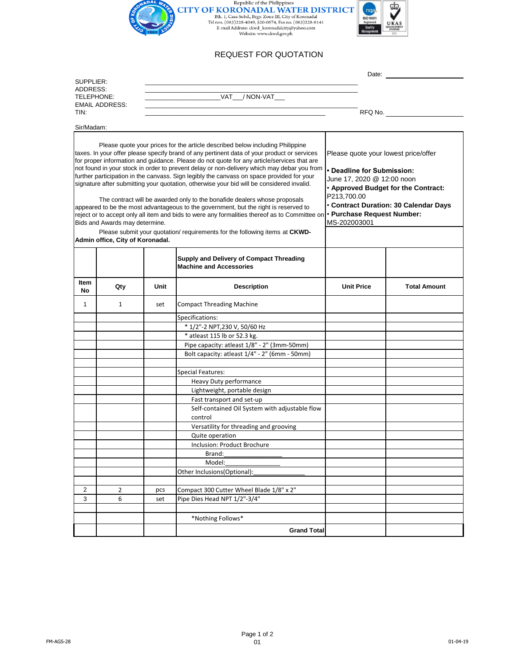

# REQUEST FOR QUOTATION

|                                                                                                                                                                                                                                                                                                                                                                                                                                                                                                                                                                                                                                                                                                                                                                                                                                                                                                                                                                                              |              |      | Date:                                                                      |                                                                                                                                                                                                                                               |                     |
|----------------------------------------------------------------------------------------------------------------------------------------------------------------------------------------------------------------------------------------------------------------------------------------------------------------------------------------------------------------------------------------------------------------------------------------------------------------------------------------------------------------------------------------------------------------------------------------------------------------------------------------------------------------------------------------------------------------------------------------------------------------------------------------------------------------------------------------------------------------------------------------------------------------------------------------------------------------------------------------------|--------------|------|----------------------------------------------------------------------------|-----------------------------------------------------------------------------------------------------------------------------------------------------------------------------------------------------------------------------------------------|---------------------|
| SUPPLIER:<br>ADDRESS:<br>TELEPHONE:                                                                                                                                                                                                                                                                                                                                                                                                                                                                                                                                                                                                                                                                                                                                                                                                                                                                                                                                                          |              |      |                                                                            |                                                                                                                                                                                                                                               |                     |
|                                                                                                                                                                                                                                                                                                                                                                                                                                                                                                                                                                                                                                                                                                                                                                                                                                                                                                                                                                                              |              |      | VAT / NON-VAT                                                              |                                                                                                                                                                                                                                               |                     |
| <b>EMAIL ADDRESS:</b><br>TIN:                                                                                                                                                                                                                                                                                                                                                                                                                                                                                                                                                                                                                                                                                                                                                                                                                                                                                                                                                                |              |      |                                                                            |                                                                                                                                                                                                                                               |                     |
|                                                                                                                                                                                                                                                                                                                                                                                                                                                                                                                                                                                                                                                                                                                                                                                                                                                                                                                                                                                              |              |      | RFQ No.                                                                    |                                                                                                                                                                                                                                               |                     |
| Sir/Madam:                                                                                                                                                                                                                                                                                                                                                                                                                                                                                                                                                                                                                                                                                                                                                                                                                                                                                                                                                                                   |              |      |                                                                            |                                                                                                                                                                                                                                               |                     |
|                                                                                                                                                                                                                                                                                                                                                                                                                                                                                                                                                                                                                                                                                                                                                                                                                                                                                                                                                                                              |              |      |                                                                            |                                                                                                                                                                                                                                               |                     |
| Please quote your prices for the article described below including Philippine<br>taxes. In your offer please specify brand of any pertinent data of your product or services<br>for proper information and guidance. Please do not quote for any article/services that are<br>not found in your stock in order to prevent delay or non-delivery which may debar you from<br>further participation in the canvass. Sign legibly the canvass on space provided for your<br>signature after submitting your quotation, otherwise your bid will be considered invalid.<br>The contract will be awarded only to the bonafide dealers whose proposals<br>appeared to be the most advantageous to the government, but the right is reserved to<br>reject or to accept only all item and bids to were any formalities thereof as to Committee on<br>Bids and Awards may determine.<br>Please submit your quotation/requirements for the following items at CKWD-<br>Admin office, City of Koronadal. |              |      |                                                                            | Please quote your lowest price/offer<br>• Deadline for Submission:<br>June 17, 2020 @ 12:00 noon<br>. Approved Budget for the Contract:<br>P213,700.00<br>· Contract Duration: 30 Calendar Days<br>· Purchase Request Number:<br>MS-202003001 |                     |
|                                                                                                                                                                                                                                                                                                                                                                                                                                                                                                                                                                                                                                                                                                                                                                                                                                                                                                                                                                                              |              |      | Supply and Delivery of Compact Threading<br><b>Machine and Accessories</b> |                                                                                                                                                                                                                                               |                     |
| ltem<br>No                                                                                                                                                                                                                                                                                                                                                                                                                                                                                                                                                                                                                                                                                                                                                                                                                                                                                                                                                                                   | Qty          | Unit | <b>Description</b>                                                         | <b>Unit Price</b>                                                                                                                                                                                                                             | <b>Total Amount</b> |
| 1                                                                                                                                                                                                                                                                                                                                                                                                                                                                                                                                                                                                                                                                                                                                                                                                                                                                                                                                                                                            | $\mathbf{1}$ | set  | <b>Compact Threading Machine</b>                                           |                                                                                                                                                                                                                                               |                     |
|                                                                                                                                                                                                                                                                                                                                                                                                                                                                                                                                                                                                                                                                                                                                                                                                                                                                                                                                                                                              |              |      | Specifications:                                                            |                                                                                                                                                                                                                                               |                     |
|                                                                                                                                                                                                                                                                                                                                                                                                                                                                                                                                                                                                                                                                                                                                                                                                                                                                                                                                                                                              |              |      | * 1/2"-2 NPT,230 V, 50/60 Hz                                               |                                                                                                                                                                                                                                               |                     |
|                                                                                                                                                                                                                                                                                                                                                                                                                                                                                                                                                                                                                                                                                                                                                                                                                                                                                                                                                                                              |              |      | * atleast 115 lb or 52.3 kg.                                               |                                                                                                                                                                                                                                               |                     |
|                                                                                                                                                                                                                                                                                                                                                                                                                                                                                                                                                                                                                                                                                                                                                                                                                                                                                                                                                                                              |              |      | Pipe capacity: atleast 1/8" - 2" (3mm-50mm)                                |                                                                                                                                                                                                                                               |                     |
|                                                                                                                                                                                                                                                                                                                                                                                                                                                                                                                                                                                                                                                                                                                                                                                                                                                                                                                                                                                              |              |      | Bolt capacity: atleast 1/4" - 2" (6mm - 50mm)                              |                                                                                                                                                                                                                                               |                     |
|                                                                                                                                                                                                                                                                                                                                                                                                                                                                                                                                                                                                                                                                                                                                                                                                                                                                                                                                                                                              |              |      |                                                                            |                                                                                                                                                                                                                                               |                     |
|                                                                                                                                                                                                                                                                                                                                                                                                                                                                                                                                                                                                                                                                                                                                                                                                                                                                                                                                                                                              |              |      | Special Features:                                                          |                                                                                                                                                                                                                                               |                     |
|                                                                                                                                                                                                                                                                                                                                                                                                                                                                                                                                                                                                                                                                                                                                                                                                                                                                                                                                                                                              |              |      | Heavy Duty performance                                                     |                                                                                                                                                                                                                                               |                     |
|                                                                                                                                                                                                                                                                                                                                                                                                                                                                                                                                                                                                                                                                                                                                                                                                                                                                                                                                                                                              |              |      | Lightweight, portable design                                               |                                                                                                                                                                                                                                               |                     |
|                                                                                                                                                                                                                                                                                                                                                                                                                                                                                                                                                                                                                                                                                                                                                                                                                                                                                                                                                                                              |              |      | Fast transport and set-up                                                  |                                                                                                                                                                                                                                               |                     |
|                                                                                                                                                                                                                                                                                                                                                                                                                                                                                                                                                                                                                                                                                                                                                                                                                                                                                                                                                                                              |              |      | Self-contained Oil System with adjustable flow<br>control                  |                                                                                                                                                                                                                                               |                     |
|                                                                                                                                                                                                                                                                                                                                                                                                                                                                                                                                                                                                                                                                                                                                                                                                                                                                                                                                                                                              |              |      | Versatility for threading and grooving                                     |                                                                                                                                                                                                                                               |                     |
|                                                                                                                                                                                                                                                                                                                                                                                                                                                                                                                                                                                                                                                                                                                                                                                                                                                                                                                                                                                              |              |      | Quite operation                                                            |                                                                                                                                                                                                                                               |                     |
|                                                                                                                                                                                                                                                                                                                                                                                                                                                                                                                                                                                                                                                                                                                                                                                                                                                                                                                                                                                              |              |      | Inclusion: Product Brochure                                                |                                                                                                                                                                                                                                               |                     |
|                                                                                                                                                                                                                                                                                                                                                                                                                                                                                                                                                                                                                                                                                                                                                                                                                                                                                                                                                                                              |              |      | Brand:                                                                     |                                                                                                                                                                                                                                               |                     |
|                                                                                                                                                                                                                                                                                                                                                                                                                                                                                                                                                                                                                                                                                                                                                                                                                                                                                                                                                                                              |              |      | Model:                                                                     |                                                                                                                                                                                                                                               |                     |
|                                                                                                                                                                                                                                                                                                                                                                                                                                                                                                                                                                                                                                                                                                                                                                                                                                                                                                                                                                                              |              |      | Other Inclusions(Optional):                                                |                                                                                                                                                                                                                                               |                     |
|                                                                                                                                                                                                                                                                                                                                                                                                                                                                                                                                                                                                                                                                                                                                                                                                                                                                                                                                                                                              |              |      |                                                                            |                                                                                                                                                                                                                                               |                     |
| 2                                                                                                                                                                                                                                                                                                                                                                                                                                                                                                                                                                                                                                                                                                                                                                                                                                                                                                                                                                                            | 2            | pcs  | Compact 300 Cutter Wheel Blade 1/8" x 2"                                   |                                                                                                                                                                                                                                               |                     |
| 3                                                                                                                                                                                                                                                                                                                                                                                                                                                                                                                                                                                                                                                                                                                                                                                                                                                                                                                                                                                            | 6            | set  | Pipe Dies Head NPT 1/2"-3/4"                                               |                                                                                                                                                                                                                                               |                     |
|                                                                                                                                                                                                                                                                                                                                                                                                                                                                                                                                                                                                                                                                                                                                                                                                                                                                                                                                                                                              |              |      |                                                                            |                                                                                                                                                                                                                                               |                     |
|                                                                                                                                                                                                                                                                                                                                                                                                                                                                                                                                                                                                                                                                                                                                                                                                                                                                                                                                                                                              |              |      | *Nothing Follows*                                                          |                                                                                                                                                                                                                                               |                     |
|                                                                                                                                                                                                                                                                                                                                                                                                                                                                                                                                                                                                                                                                                                                                                                                                                                                                                                                                                                                              |              |      | <b>Grand Total</b>                                                         |                                                                                                                                                                                                                                               |                     |